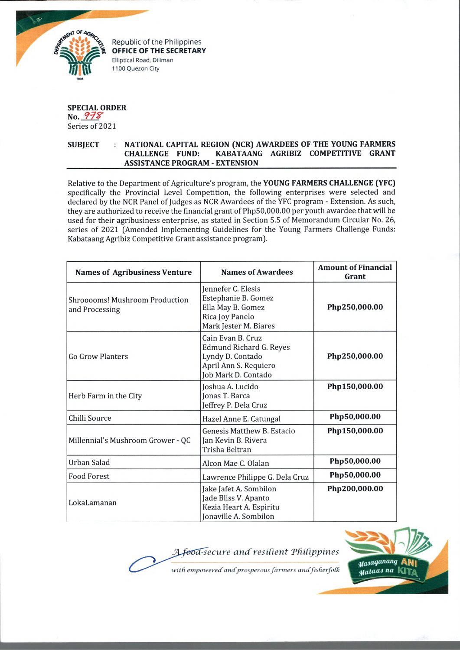

Republic of the Philippines **OFFICE OF THE SECRETARY** Elliptical Road, Diliman 1100 Quezon City

## **SPECIAL ORDER No.** *9 7 Z '* Series of 2021

## **SUBJECT : NATIONAL CAPITAL REGION (NCR) AWARDEES OF THE YOUNG FARMERS CHALLENGE FUND: KABATAANG AGRIBIZ COMPETITIVE GRANT ASSISTANCE PROGRAM - EXTENSION**

Relative to the Department of Agriculture's program, the **YOUNG FARMERS CHALLENGE (YFC)** specifically the Provincial Level Competition, the following enterprises were selected and declared by the NCR Panel of Judges as NCR Awardees of the YFC program - Extension. As such, they are authorized to receive the financial grant of Php50,000.00 per youth awardee that will be used for their agribusiness enterprise, as stated in Section 5.5 of Memorandum Circular No. 26, series of 2021 (Amended Implementing Guidelines for the Young Farmers Challenge Funds: Kabataang Agribiz Competitive Grant assistance program).

| <b>Names of Agribusiness Venture</b>                    | <b>Names of Awardees</b>                                                                                         | <b>Amount of Financial</b><br>Grant |
|---------------------------------------------------------|------------------------------------------------------------------------------------------------------------------|-------------------------------------|
| <b>Shrooooms! Mushroom Production</b><br>and Processing | Jennefer C. Elesis<br>Estephanie B. Gomez<br>Ella May B. Gomez<br>Rica Joy Panelo<br>Mark Jester M. Biares       | Php250,000.00                       |
| <b>Go Grow Planters</b>                                 | Cain Evan B. Cruz<br>Edmund Richard G. Reyes<br>Lyndy D. Contado<br>April Ann S. Requiero<br>Job Mark D. Contado | Php250,000.00                       |
| Herb Farm in the City                                   | Joshua A. Lucido<br>Jonas T. Barca<br>Jeffrey P. Dela Cruz                                                       | Php150,000.00                       |
| Chilli Source                                           | Hazel Anne E. Catungal                                                                                           | Php50,000.00                        |
| Millennial's Mushroom Grower - QC                       | <b>Genesis Matthew B. Estacio</b><br>Jan Kevin B. Rivera<br>Trisha Beltran                                       | Php150,000.00                       |
| Urban Salad                                             | Alcon Mae C. Olalan                                                                                              | Php50,000.00                        |
| <b>Food Forest</b>                                      | Lawrence Philippe G. Dela Cruz                                                                                   | Php50,000.00                        |
| LokaLamanan                                             | Jake Jafet A. Sombilon<br>Jade Bliss V. Apanto<br>Kezia Heart A. Espiritu<br>Jonaville A. Sombilon               | Php200,000.00                       |

*-secure and resilient 'Philippines*